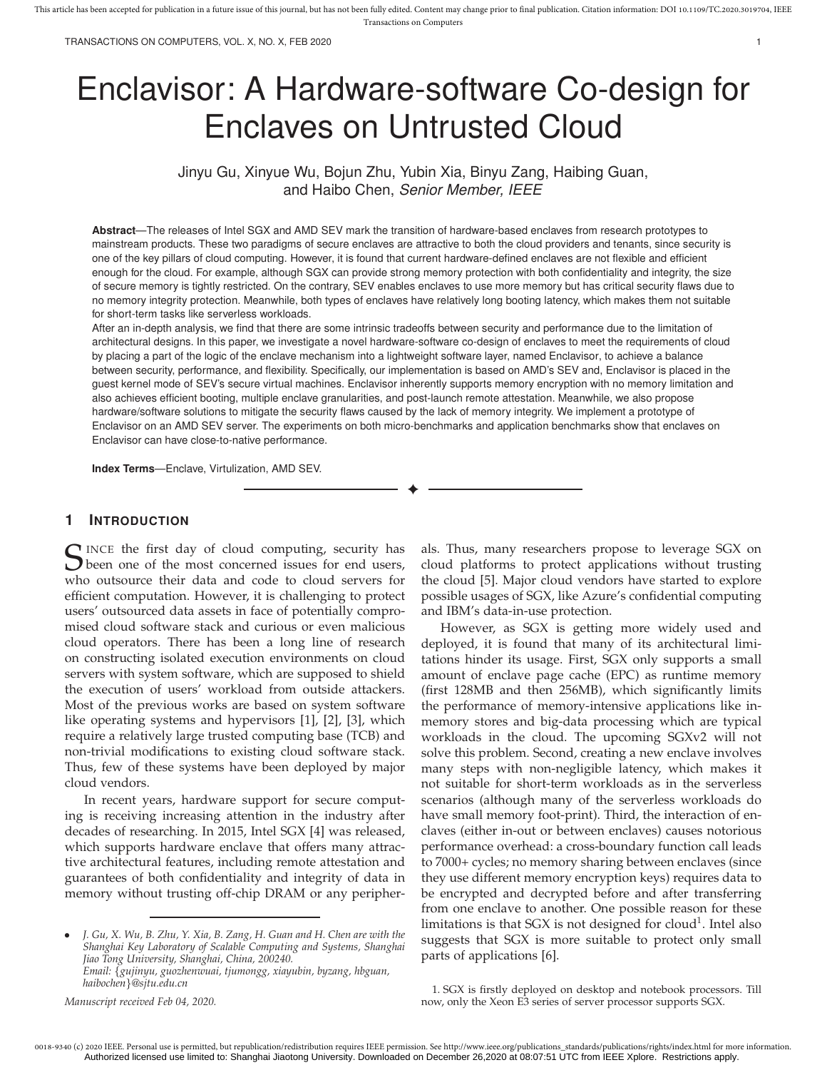# Enclavisor: A Hardware-software Co-design for Enclaves on Untrusted Cloud

# Jinyu Gu, Xinyue Wu, Bojun Zhu, Yubin Xia, Binyu Zang, Haibing Guan, and Haibo Chen, *Senior Member, IEEE*

**Abstract**—The releases of Intel SGX and AMD SEV mark the transition of hardware-based enclaves from research prototypes to mainstream products. These two paradigms of secure enclaves are attractive to both the cloud providers and tenants, since security is one of the key pillars of cloud computing. However, it is found that current hardware-defined enclaves are not flexible and efficient enough for the cloud. For example, although SGX can provide strong memory protection with both confidentiality and integrity, the size of secure memory is tightly restricted. On the contrary, SEV enables enclaves to use more memory but has critical security flaws due to no memory integrity protection. Meanwhile, both types of enclaves have relatively long booting latency, which makes them not suitable for short-term tasks like serverless workloads.

After an in-depth analysis, we find that there are some intrinsic tradeoffs between security and performance due to the limitation of architectural designs. In this paper, we investigate a novel hardware-software co-design of enclaves to meet the requirements of cloud by placing a part of the logic of the enclave mechanism into a lightweight software layer, named Enclavisor, to achieve a balance between security, performance, and flexibility. Specifically, our implementation is based on AMD's SEV and, Enclavisor is placed in the guest kernel mode of SEV's secure virtual machines. Enclavisor inherently supports memory encryption with no memory limitation and also achieves efficient booting, multiple enclave granularities, and post-launch remote attestation. Meanwhile, we also propose hardware/software solutions to mitigate the security flaws caused by the lack of memory integrity. We implement a prototype of Enclavisor on an AMD SEV server. The experiments on both micro-benchmarks and application benchmarks show that enclaves on Enclavisor can have close-to-native performance.

✦

**Index Terms**—Enclave, Virtulization, AMD SEV.

# **1 INTRODUCTION**

S INCE the first day of cloud computing, security has<br>been one of the most concerned issues for end users, INCE the first day of cloud computing, security has who outsource their data and code to cloud servers for efficient computation. However, it is challenging to protect users' outsourced data assets in face of potentially compromised cloud software stack and curious or even malicious cloud operators. There has been a long line of research on constructing isolated execution environments on cloud servers with system software, which are supposed to shield the execution of users' workload from outside attackers. Most of the previous works are based on system software like operating systems and hypervisors [1], [2], [3], which require a relatively large trusted computing base (TCB) and non-trivial modifications to existing cloud software stack. Thus, few of these systems have been deployed by major cloud vendors.

In recent years, hardware support for secure computing is receiving increasing attention in the industry after decades of researching. In 2015, Intel SGX [4] was released, which supports hardware enclave that offers many attractive architectural features, including remote attestation and guarantees of both confidentiality and integrity of data in memory without trusting off-chip DRAM or any peripher-

• *J. Gu, X. Wu, B. Zhu, Y. Xia, B. Zang, H. Guan and H. Chen are with the Shanghai Key Laboratory of Scalable Computing and Systems, Shanghai Jiao Tong University, Shanghai, China, 200240. Email:* {*gujinyu, guozhenwuai, tjumongg, xiayubin, byzang, hbguan, haibochen*}*@sjtu.edu.cn*

*Manuscript received Feb 04, 2020.*

als. Thus, many researchers propose to leverage SGX on cloud platforms to protect applications without trusting the cloud [5]. Major cloud vendors have started to explore possible usages of SGX, like Azure's confidential computing and IBM's data-in-use protection.

However, as SGX is getting more widely used and deployed, it is found that many of its architectural limitations hinder its usage. First, SGX only supports a small amount of enclave page cache (EPC) as runtime memory (first 128MB and then 256MB), which significantly limits the performance of memory-intensive applications like inmemory stores and big-data processing which are typical workloads in the cloud. The upcoming SGXv2 will not solve this problem. Second, creating a new enclave involves many steps with non-negligible latency, which makes it not suitable for short-term workloads as in the serverless scenarios (although many of the serverless workloads do have small memory foot-print). Third, the interaction of enclaves (either in-out or between enclaves) causes notorious performance overhead: a cross-boundary function call leads to 7000+ cycles; no memory sharing between enclaves (since they use different memory encryption keys) requires data to be encrypted and decrypted before and after transferring from one enclave to another. One possible reason for these limitations is that SGX is not designed for cloud<sup>1</sup>. Intel also suggests that SGX is more suitable to protect only small parts of applications [6].

1. SGX is firstly deployed on desktop and notebook processors. Till now, only the Xeon E3 series of server processor supports SGX.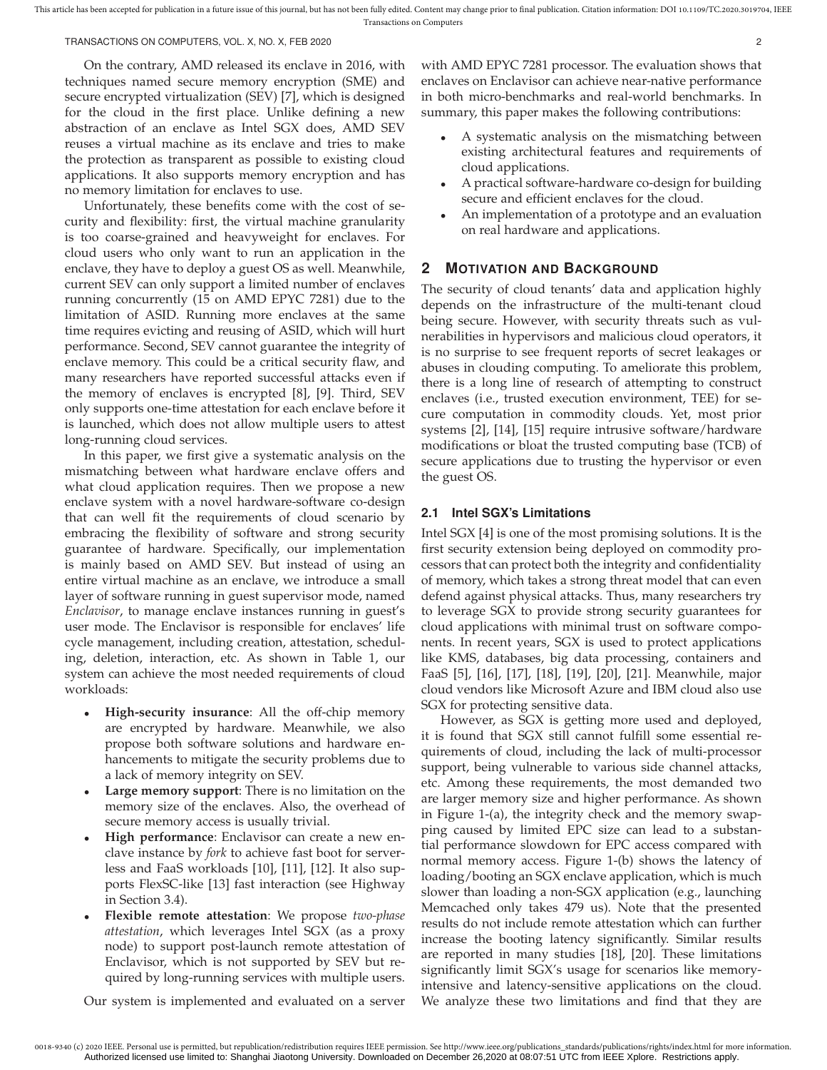#### TRANSACTIONS ON COMPUTERS, VOL. X, NO. X, FEB 2020 2

On the contrary, AMD released its enclave in 2016, with techniques named secure memory encryption (SME) and secure encrypted virtualization (SEV) [7], which is designed for the cloud in the first place. Unlike defining a new abstraction of an enclave as Intel SGX does, AMD SEV reuses a virtual machine as its enclave and tries to make the protection as transparent as possible to existing cloud applications. It also supports memory encryption and has no memory limitation for enclaves to use.

Unfortunately, these benefits come with the cost of security and flexibility: first, the virtual machine granularity is too coarse-grained and heavyweight for enclaves. For cloud users who only want to run an application in the enclave, they have to deploy a guest OS as well. Meanwhile, current SEV can only support a limited number of enclaves running concurrently (15 on AMD EPYC 7281) due to the limitation of ASID. Running more enclaves at the same time requires evicting and reusing of ASID, which will hurt performance. Second, SEV cannot guarantee the integrity of enclave memory. This could be a critical security flaw, and many researchers have reported successful attacks even if the memory of enclaves is encrypted [8], [9]. Third, SEV only supports one-time attestation for each enclave before it is launched, which does not allow multiple users to attest long-running cloud services.

In this paper, we first give a systematic analysis on the mismatching between what hardware enclave offers and what cloud application requires. Then we propose a new enclave system with a novel hardware-software co-design that can well fit the requirements of cloud scenario by embracing the flexibility of software and strong security guarantee of hardware. Specifically, our implementation is mainly based on AMD SEV. But instead of using an entire virtual machine as an enclave, we introduce a small layer of software running in guest supervisor mode, named *Enclavisor*, to manage enclave instances running in guest's user mode. The Enclavisor is responsible for enclaves' life cycle management, including creation, attestation, scheduling, deletion, interaction, etc. As shown in Table 1, our system can achieve the most needed requirements of cloud workloads:

- **High-security insurance**: All the off-chip memory are encrypted by hardware. Meanwhile, we also propose both software solutions and hardware enhancements to mitigate the security problems due to a lack of memory integrity on SEV.
- **Large memory support:** There is no limitation on the memory size of the enclaves. Also, the overhead of secure memory access is usually trivial.
- **High performance**: Enclavisor can create a new enclave instance by *fork* to achieve fast boot for serverless and FaaS workloads [10], [11], [12]. It also supports FlexSC-like [13] fast interaction (see Highway in Section 3.4).
- **Flexible remote attestation**: We propose *two-phase attestation*, which leverages Intel SGX (as a proxy node) to support post-launch remote attestation of Enclavisor, which is not supported by SEV but required by long-running services with multiple users.

Our system is implemented and evaluated on a server

with AMD EPYC 7281 processor. The evaluation shows that enclaves on Enclavisor can achieve near-native performance in both micro-benchmarks and real-world benchmarks. In summary, this paper makes the following contributions:

- A systematic analysis on the mismatching between existing architectural features and requirements of cloud applications.
- A practical software-hardware co-design for building secure and efficient enclaves for the cloud.
- An implementation of a prototype and an evaluation on real hardware and applications.

# **2 MOTIVATION AND BACKGROUND**

The security of cloud tenants' data and application highly depends on the infrastructure of the multi-tenant cloud being secure. However, with security threats such as vulnerabilities in hypervisors and malicious cloud operators, it is no surprise to see frequent reports of secret leakages or abuses in clouding computing. To ameliorate this problem, there is a long line of research of attempting to construct enclaves (i.e., trusted execution environment, TEE) for secure computation in commodity clouds. Yet, most prior systems [2], [14], [15] require intrusive software/hardware modifications or bloat the trusted computing base (TCB) of secure applications due to trusting the hypervisor or even the guest OS.

#### **2.1 Intel SGX's Limitations**

Intel SGX [4] is one of the most promising solutions. It is the first security extension being deployed on commodity processors that can protect both the integrity and confidentiality of memory, which takes a strong threat model that can even defend against physical attacks. Thus, many researchers try to leverage SGX to provide strong security guarantees for cloud applications with minimal trust on software components. In recent years, SGX is used to protect applications like KMS, databases, big data processing, containers and FaaS [5], [16], [17], [18], [19], [20], [21]. Meanwhile, major cloud vendors like Microsoft Azure and IBM cloud also use SGX for protecting sensitive data.

However, as SGX is getting more used and deployed, it is found that SGX still cannot fulfill some essential requirements of cloud, including the lack of multi-processor support, being vulnerable to various side channel attacks, etc. Among these requirements, the most demanded two are larger memory size and higher performance. As shown in Figure 1-(a), the integrity check and the memory swapping caused by limited EPC size can lead to a substantial performance slowdown for EPC access compared with normal memory access. Figure 1-(b) shows the latency of loading/booting an SGX enclave application, which is much slower than loading a non-SGX application (e.g., launching Memcached only takes 479 us). Note that the presented results do not include remote attestation which can further increase the booting latency significantly. Similar results are reported in many studies [18], [20]. These limitations significantly limit SGX's usage for scenarios like memoryintensive and latency-sensitive applications on the cloud. We analyze these two limitations and find that they are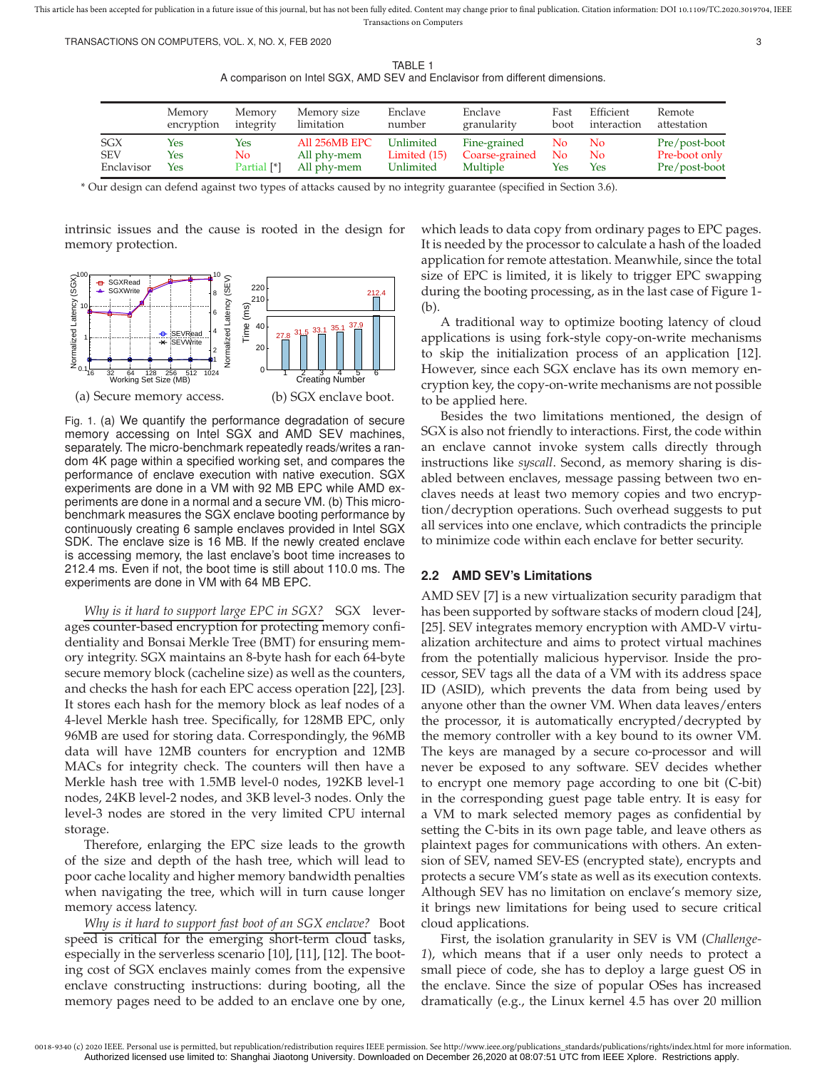TABLE 1 A comparison on Intel SGX, AMD SEV and Enclavisor from different dimensions.

|            | Memory     | Memory      | Memory size   | Enclave      | Enclave        | Fast      | Efficient   | Remote        |
|------------|------------|-------------|---------------|--------------|----------------|-----------|-------------|---------------|
|            | encryption | integrity   | limitation    | number       | granularity    | boot      | interaction | attestation   |
| SGX        | Yes        | Yes         | All 256MB EPC | Unlimited    | Fine-grained   | No.       | No.         | Pre/post-boot |
| <b>SEV</b> | Yes        | No-         | All phy-mem   | Limited (15) | Coarse-grained | <b>No</b> | No.         | Pre-boot only |
| Enclavisor | Yes        | Partial [*] | All phy-mem   | Unlimited    | Multiple       | Yes       | Yes         | Pre/post-boot |

\* Our design can defend against two types of attacks caused by no integrity guarantee (specified in Section 3.6).

intrinsic issues and the cause is rooted in the design for memory protection.



Fig. 1. (a) We quantify the performance degradation of secure memory accessing on Intel SGX and AMD SEV machines, separately. The micro-benchmark repeatedly reads/writes a random 4K page within a specified working set, and compares the performance of enclave execution with native execution. SGX experiments are done in a VM with 92 MB EPC while AMD experiments are done in a normal and a secure VM. (b) This microbenchmark measures the SGX enclave booting performance by continuously creating 6 sample enclaves provided in Intel SGX SDK. The enclave size is 16 MB. If the newly created enclave is accessing memory, the last enclave's boot time increases to 212.4 ms. Even if not, the boot time is still about 110.0 ms. The experiments are done in VM with 64 MB EPC.

*Why is it hard to support large EPC in SGX?* SGX leverages counter-based encryption for protecting memory confidentiality and Bonsai Merkle Tree (BMT) for ensuring memory integrity. SGX maintains an 8-byte hash for each 64-byte secure memory block (cacheline size) as well as the counters, and checks the hash for each EPC access operation [22], [23]. It stores each hash for the memory block as leaf nodes of a 4-level Merkle hash tree. Specifically, for 128MB EPC, only 96MB are used for storing data. Correspondingly, the 96MB data will have 12MB counters for encryption and 12MB MACs for integrity check. The counters will then have a Merkle hash tree with 1.5MB level-0 nodes, 192KB level-1 nodes, 24KB level-2 nodes, and 3KB level-3 nodes. Only the level-3 nodes are stored in the very limited CPU internal storage.

Therefore, enlarging the EPC size leads to the growth of the size and depth of the hash tree, which will lead to poor cache locality and higher memory bandwidth penalties when navigating the tree, which will in turn cause longer memory access latency.

*Why is it hard to support fast boot of an SGX enclave?* Boot speed is critical for the emerging short-term cloud tasks, especially in the serverless scenario [10], [11], [12]. The booting cost of SGX enclaves mainly comes from the expensive enclave constructing instructions: during booting, all the memory pages need to be added to an enclave one by one,

which leads to data copy from ordinary pages to EPC pages. It is needed by the processor to calculate a hash of the loaded application for remote attestation. Meanwhile, since the total size of EPC is limited, it is likely to trigger EPC swapping during the booting processing, as in the last case of Figure 1- (b).

A traditional way to optimize booting latency of cloud applications is using fork-style copy-on-write mechanisms to skip the initialization process of an application [12]. However, since each SGX enclave has its own memory encryption key, the copy-on-write mechanisms are not possible to be applied here.

Besides the two limitations mentioned, the design of SGX is also not friendly to interactions. First, the code within an enclave cannot invoke system calls directly through instructions like *syscall*. Second, as memory sharing is disabled between enclaves, message passing between two enclaves needs at least two memory copies and two encryption/decryption operations. Such overhead suggests to put all services into one enclave, which contradicts the principle to minimize code within each enclave for better security.

#### **2.2 AMD SEV's Limitations**

AMD SEV [7] is a new virtualization security paradigm that has been supported by software stacks of modern cloud [24], [25]. SEV integrates memory encryption with AMD-V virtualization architecture and aims to protect virtual machines from the potentially malicious hypervisor. Inside the processor, SEV tags all the data of a VM with its address space ID (ASID), which prevents the data from being used by anyone other than the owner VM. When data leaves/enters the processor, it is automatically encrypted/decrypted by the memory controller with a key bound to its owner VM. The keys are managed by a secure co-processor and will never be exposed to any software. SEV decides whether to encrypt one memory page according to one bit (C-bit) in the corresponding guest page table entry. It is easy for a VM to mark selected memory pages as confidential by setting the C-bits in its own page table, and leave others as plaintext pages for communications with others. An extension of SEV, named SEV-ES (encrypted state), encrypts and protects a secure VM's state as well as its execution contexts. Although SEV has no limitation on enclave's memory size, it brings new limitations for being used to secure critical cloud applications.

First, the isolation granularity in SEV is VM (*Challenge-1*), which means that if a user only needs to protect a small piece of code, she has to deploy a large guest OS in the enclave. Since the size of popular OSes has increased dramatically (e.g., the Linux kernel 4.5 has over 20 million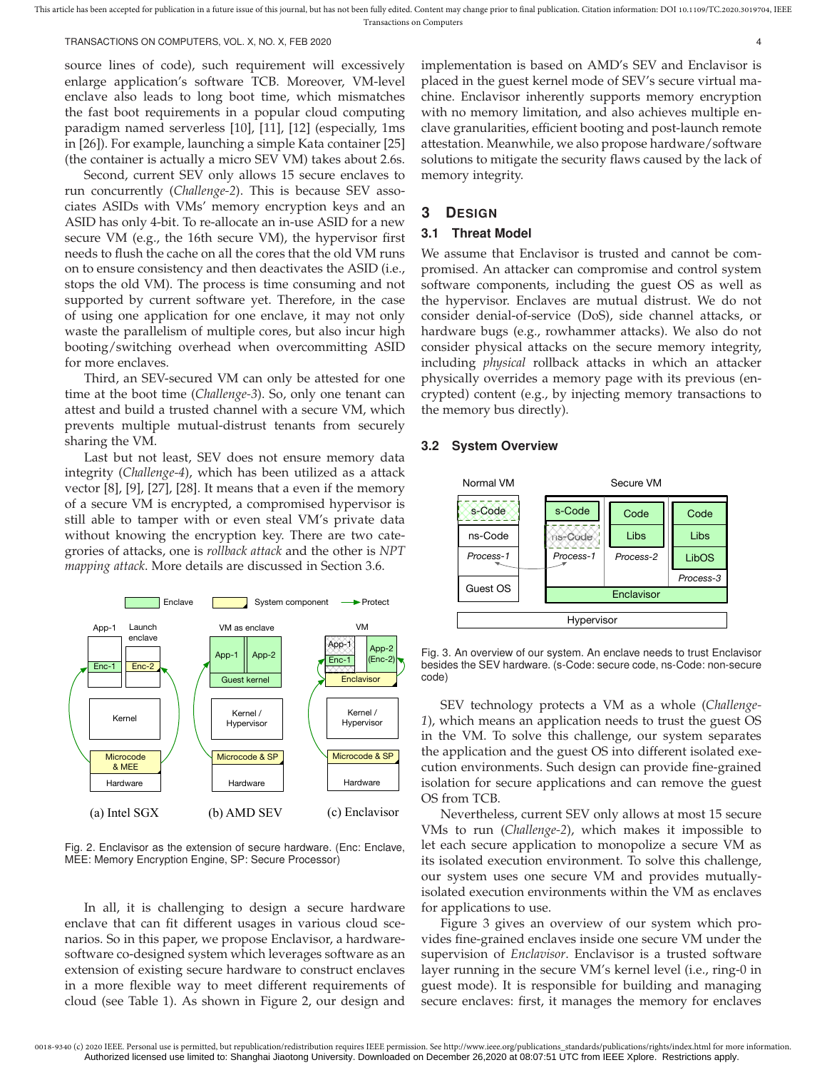#### TRANSACTIONS ON COMPUTERS, VOL. X, NO. X, FEB 2020 4

source lines of code), such requirement will excessively enlarge application's software TCB. Moreover, VM-level enclave also leads to long boot time, which mismatches the fast boot requirements in a popular cloud computing paradigm named serverless [10], [11], [12] (especially, 1ms in [26]). For example, launching a simple Kata container [25] (the container is actually a micro SEV VM) takes about 2.6s.

Second, current SEV only allows 15 secure enclaves to run concurrently (*Challenge-2*). This is because SEV associates ASIDs with VMs' memory encryption keys and an ASID has only 4-bit. To re-allocate an in-use ASID for a new secure VM (e.g., the 16th secure VM), the hypervisor first needs to flush the cache on all the cores that the old VM runs on to ensure consistency and then deactivates the ASID (i.e., stops the old VM). The process is time consuming and not supported by current software yet. Therefore, in the case of using one application for one enclave, it may not only waste the parallelism of multiple cores, but also incur high booting/switching overhead when overcommitting ASID for more enclaves.

Third, an SEV-secured VM can only be attested for one time at the boot time (*Challenge-3*). So, only one tenant can attest and build a trusted channel with a secure VM, which prevents multiple mutual-distrust tenants from securely sharing the VM.

Last but not least, SEV does not ensure memory data integrity (*Challenge-4*), which has been utilized as a attack vector [8], [9], [27], [28]. It means that a even if the memory of a secure VM is encrypted, a compromised hypervisor is still able to tamper with or even steal VM's private data without knowing the encryption key. There are two categrories of attacks, one is *rollback attack* and the other is *NPT mapping attack*. More details are discussed in Section 3.6.



Fig. 2. Enclavisor as the extension of secure hardware. (Enc: Enclave, MEE: Memory Encryption Engine, SP: Secure Processor)

In all, it is challenging to design a secure hardware enclave that can fit different usages in various cloud scenarios. So in this paper, we propose Enclavisor, a hardwaresoftware co-designed system which leverages software as an extension of existing secure hardware to construct enclaves in a more flexible way to meet different requirements of cloud (see Table 1). As shown in Figure 2, our design and

implementation is based on AMD's SEV and Enclavisor is placed in the guest kernel mode of SEV's secure virtual machine. Enclavisor inherently supports memory encryption with no memory limitation, and also achieves multiple enclave granularities, efficient booting and post-launch remote attestation. Meanwhile, we also propose hardware/software solutions to mitigate the security flaws caused by the lack of memory integrity.

# **3 DESIGN**

#### **3.1 Threat Model**

We assume that Enclavisor is trusted and cannot be compromised. An attacker can compromise and control system software components, including the guest OS as well as the hypervisor. Enclaves are mutual distrust. We do not consider denial-of-service (DoS), side channel attacks, or hardware bugs (e.g., rowhammer attacks). We also do not consider physical attacks on the secure memory integrity, including *physical* rollback attacks in which an attacker physically overrides a memory page with its previous (encrypted) content (e.g., by injecting memory transactions to the memory bus directly).

#### **3.2 System Overview**



Fig. 3. An overview of our system. An enclave needs to trust Enclavisor besides the SEV hardware. (s-Code: secure code, ns-Code: non-secure code)

SEV technology protects a VM as a whole (*Challenge-1*), which means an application needs to trust the guest OS in the VM. To solve this challenge, our system separates the application and the guest OS into different isolated execution environments. Such design can provide fine-grained isolation for secure applications and can remove the guest OS from TCB.

Nevertheless, current SEV only allows at most 15 secure VMs to run (*Challenge-2*), which makes it impossible to let each secure application to monopolize a secure VM as its isolated execution environment. To solve this challenge, our system uses one secure VM and provides mutuallyisolated execution environments within the VM as enclaves for applications to use.

Figure 3 gives an overview of our system which provides fine-grained enclaves inside one secure VM under the supervision of *Enclavisor*. Enclavisor is a trusted software layer running in the secure VM's kernel level (i.e., ring-0 in guest mode). It is responsible for building and managing secure enclaves: first, it manages the memory for enclaves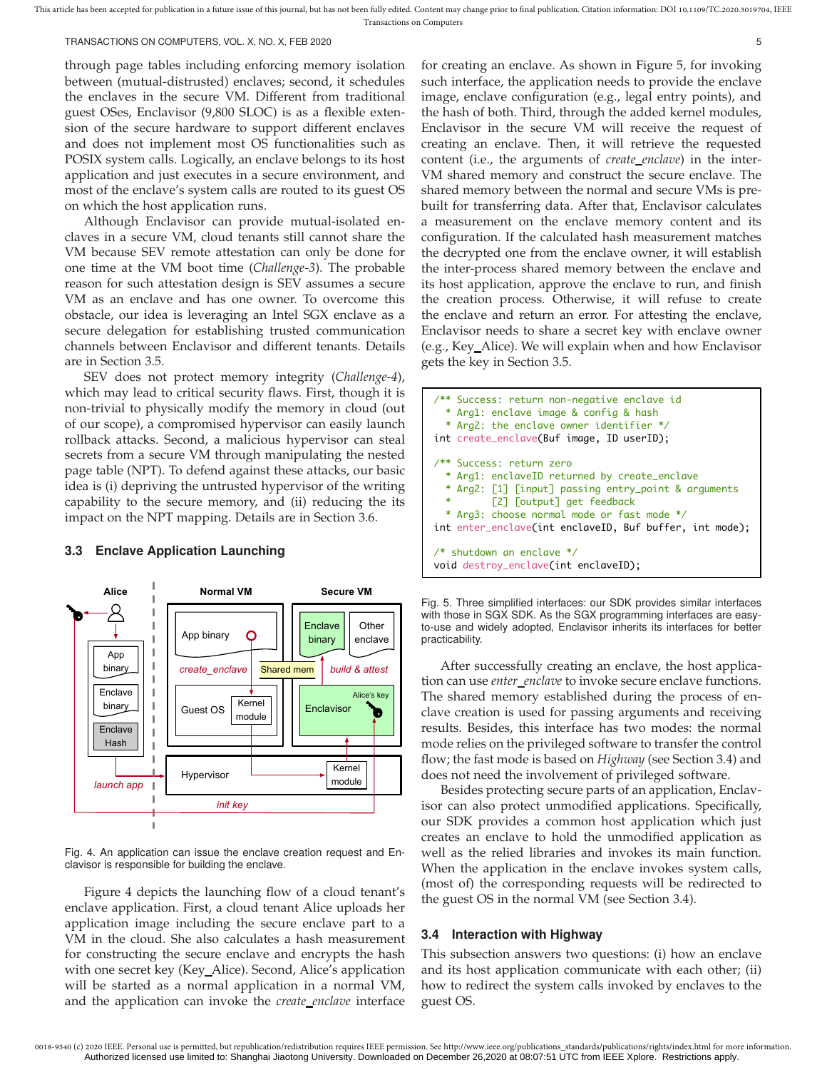#### TRANSACTIONS ON COMPUTERS, VOL. X, NO. X, FEB 2020 5

through page tables including enforcing memory isolation between (mutual-distrusted) enclaves; second, it schedules the enclaves in the secure VM. Different from traditional guest OSes, Enclavisor (9,800 SLOC) is as a flexible extension of the secure hardware to support different enclaves and does not implement most OS functionalities such as POSIX system calls. Logically, an enclave belongs to its host application and just executes in a secure environment, and most of the enclave's system calls are routed to its guest OS on which the host application runs.

Although Enclavisor can provide mutual-isolated enclaves in a secure VM, cloud tenants still cannot share the VM because SEV remote attestation can only be done for one time at the VM boot time (*Challenge-3*). The probable reason for such attestation design is SEV assumes a secure VM as an enclave and has one owner. To overcome this obstacle, our idea is leveraging an Intel SGX enclave as a secure delegation for establishing trusted communication channels between Enclavisor and different tenants. Details are in Section 3.5.

SEV does not protect memory integrity (*Challenge-4*), which may lead to critical security flaws. First, though it is non-trivial to physically modify the memory in cloud (out of our scope), a compromised hypervisor can easily launch rollback attacks. Second, a malicious hypervisor can steal secrets from a secure VM through manipulating the nested page table (NPT). To defend against these attacks, our basic idea is (i) depriving the untrusted hypervisor of the writing capability to the secure memory, and (ii) reducing the its impact on the NPT mapping. Details are in Section 3.6.



### **3.3 Enclave Application Launching**

Fig. 4. An application can issue the enclave creation request and Enclavisor is responsible for building the enclave.

Figure 4 depicts the launching flow of a cloud tenant's enclave application. First, a cloud tenant Alice uploads her application image including the secure enclave part to a VM in the cloud. She also calculates a hash measurement for constructing the secure enclave and encrypts the hash with one secret key (Key\_Alice). Second, Alice's application will be started as a normal application in a normal VM, and the application can invoke the *create enclave* interface

for creating an enclave. As shown in Figure 5, for invoking such interface, the application needs to provide the enclave image, enclave configuration (e.g., legal entry points), and the hash of both. Third, through the added kernel modules, Enclavisor in the secure VM will receive the request of creating an enclave. Then, it will retrieve the requested content (i.e., the arguments of *create enclave*) in the inter-VM shared memory and construct the secure enclave. The shared memory between the normal and secure VMs is prebuilt for transferring data. After that, Enclavisor calculates a measurement on the enclave memory content and its configuration. If the calculated hash measurement matches the decrypted one from the enclave owner, it will establish the inter-process shared memory between the enclave and its host application, approve the enclave to run, and finish the creation process. Otherwise, it will refuse to create the enclave and return an error. For attesting the enclave, Enclavisor needs to share a secret key with enclave owner (e.g., Key Alice). We will explain when and how Enclavisor gets the key in Section 3.5.



Fig. 5. Three simplified interfaces: our SDK provides similar interfaces with those in SGX SDK. As the SGX programming interfaces are easyto-use and widely adopted, Enclavisor inherits its interfaces for better practicability.

After successfully creating an enclave, the host application can use *enter enclave* to invoke secure enclave functions. The shared memory established during the process of enclave creation is used for passing arguments and receiving results. Besides, this interface has two modes: the normal mode relies on the privileged software to transfer the control flow; the fast mode is based on *Highway* (see Section 3.4) and does not need the involvement of privileged software.

Besides protecting secure parts of an application, Enclavisor can also protect unmodified applications. Specifically, our SDK provides a common host application which just creates an enclave to hold the unmodified application as well as the relied libraries and invokes its main function. When the application in the enclave invokes system calls, (most of) the corresponding requests will be redirected to the guest OS in the normal VM (see Section 3.4).

### **3.4 Interaction with Highway**

This subsection answers two questions: (i) how an enclave and its host application communicate with each other; (ii) how to redirect the system calls invoked by enclaves to the guest OS.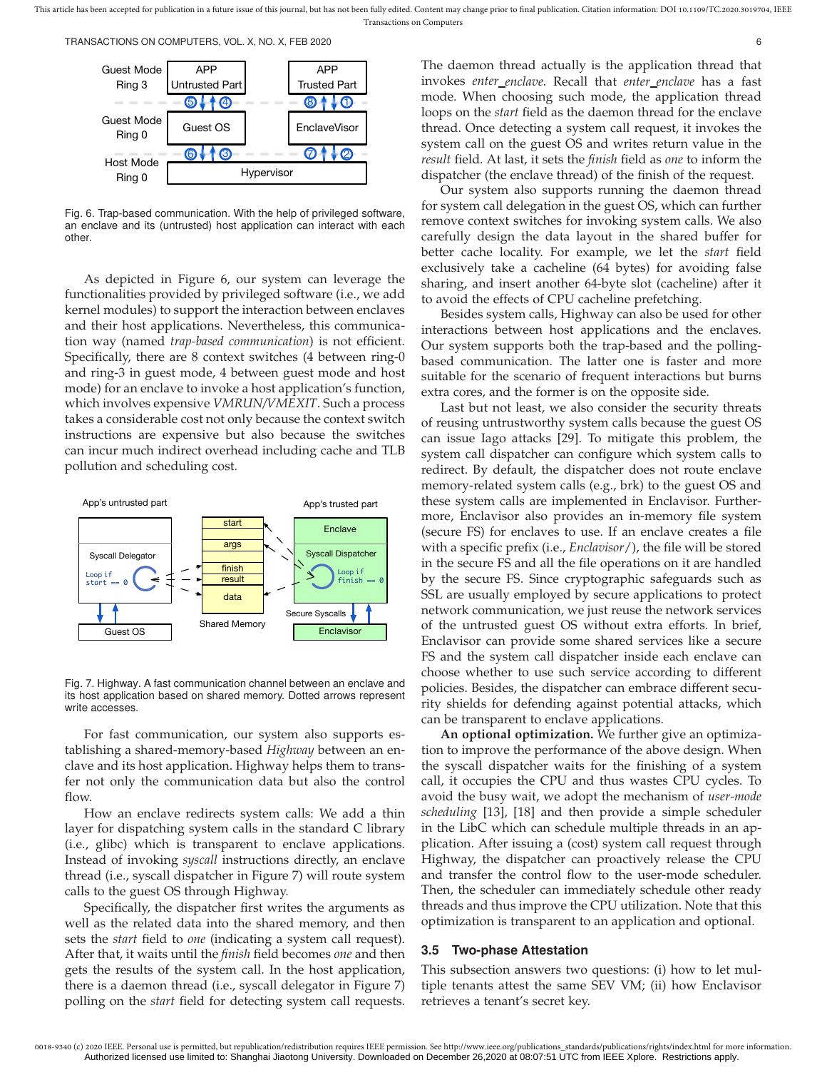



Fig. 6. Trap-based communication. With the help of privileged software, an enclave and its (untrusted) host application can interact with each other.

As depicted in Figure 6, our system can leverage the functionalities provided by privileged software (i.e., we add kernel modules) to support the interaction between enclaves and their host applications. Nevertheless, this communication way (named *trap-based communication*) is not efficient. Specifically, there are 8 context switches (4 between ring-0 and ring-3 in guest mode, 4 between guest mode and host mode) for an enclave to invoke a host application's function, which involves expensive *VMRUN/VMEXIT*. Such a process takes a considerable cost not only because the context switch instructions are expensive but also because the switches can incur much indirect overhead including cache and TLB pollution and scheduling cost.



Fig. 7. Highway. A fast communication channel between an enclave and its host application based on shared memory. Dotted arrows represent write accesses.

For fast communication, our system also supports establishing a shared-memory-based *Highway* between an enclave and its host application. Highway helps them to transfer not only the communication data but also the control flow.

How an enclave redirects system calls: We add a thin layer for dispatching system calls in the standard C library (i.e., glibc) which is transparent to enclave applications. Instead of invoking *syscall* instructions directly, an enclave thread (i.e., syscall dispatcher in Figure 7) will route system calls to the guest OS through Highway.

Specifically, the dispatcher first writes the arguments as well as the related data into the shared memory, and then sets the *start* field to *one* (indicating a system call request). After that, it waits until the *finish* field becomes *one* and then gets the results of the system call. In the host application, there is a daemon thread (i.e., syscall delegator in Figure 7) polling on the *start* field for detecting system call requests. The daemon thread actually is the application thread that invokes *enter enclave*. Recall that *enter enclave* has a fast mode. When choosing such mode, the application thread loops on the *start* field as the daemon thread for the enclave thread. Once detecting a system call request, it invokes the system call on the guest OS and writes return value in the *result* field. At last, it sets the *finish* field as *one* to inform the dispatcher (the enclave thread) of the finish of the request.

Our system also supports running the daemon thread for system call delegation in the guest OS, which can further remove context switches for invoking system calls. We also carefully design the data layout in the shared buffer for better cache locality. For example, we let the *start* field exclusively take a cacheline (64 bytes) for avoiding false sharing, and insert another 64-byte slot (cacheline) after it to avoid the effects of CPU cacheline prefetching.

Besides system calls, Highway can also be used for other interactions between host applications and the enclaves. Our system supports both the trap-based and the pollingbased communication. The latter one is faster and more suitable for the scenario of frequent interactions but burns extra cores, and the former is on the opposite side.

Last but not least, we also consider the security threats of reusing untrustworthy system calls because the guest OS can issue Iago attacks [29]. To mitigate this problem, the system call dispatcher can configure which system calls to redirect. By default, the dispatcher does not route enclave memory-related system calls (e.g., brk) to the guest OS and these system calls are implemented in Enclavisor. Furthermore, Enclavisor also provides an in-memory file system (secure FS) for enclaves to use. If an enclave creates a file with a specific prefix (i.e., *Enclavisor*/), the file will be stored in the secure FS and all the file operations on it are handled by the secure FS. Since cryptographic safeguards such as SSL are usually employed by secure applications to protect network communication, we just reuse the network services of the untrusted guest OS without extra efforts. In brief, Enclavisor can provide some shared services like a secure FS and the system call dispatcher inside each enclave can choose whether to use such service according to different policies. Besides, the dispatcher can embrace different security shields for defending against potential attacks, which can be transparent to enclave applications.

**An optional optimization.** We further give an optimization to improve the performance of the above design. When the syscall dispatcher waits for the finishing of a system call, it occupies the CPU and thus wastes CPU cycles. To avoid the busy wait, we adopt the mechanism of *user-mode scheduling* [13], [18] and then provide a simple scheduler in the LibC which can schedule multiple threads in an application. After issuing a (cost) system call request through Highway, the dispatcher can proactively release the CPU and transfer the control flow to the user-mode scheduler. Then, the scheduler can immediately schedule other ready threads and thus improve the CPU utilization. Note that this optimization is transparent to an application and optional.

# **3.5 Two-phase Attestation**

This subsection answers two questions: (i) how to let multiple tenants attest the same SEV VM; (ii) how Enclavisor retrieves a tenant's secret key.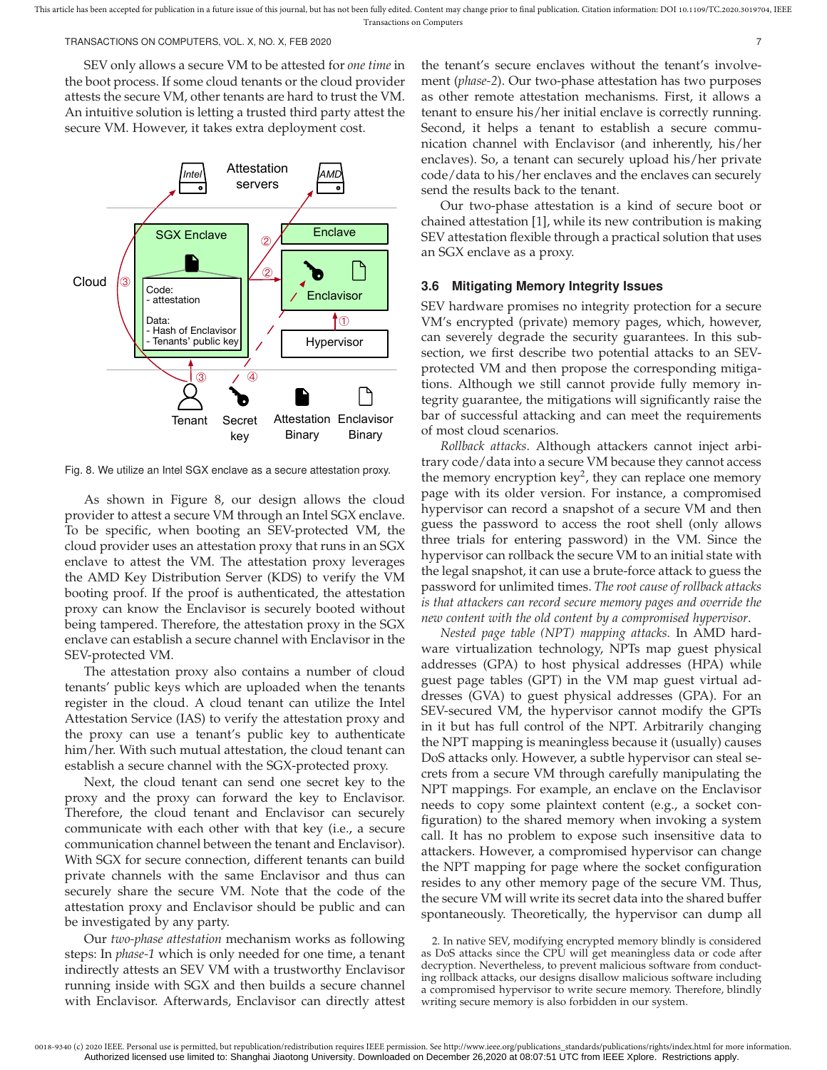SEV only allows a secure VM to be attested for *one time* in the boot process. If some cloud tenants or the cloud provider attests the secure VM, other tenants are hard to trust the VM. An intuitive solution is letting a trusted third party attest the secure VM. However, it takes extra deployment cost.



Fig. 8. We utilize an Intel SGX enclave as a secure attestation proxy.

As shown in Figure 8, our design allows the cloud provider to attest a secure VM through an Intel SGX enclave. To be specific, when booting an SEV-protected VM, the cloud provider uses an attestation proxy that runs in an SGX enclave to attest the VM. The attestation proxy leverages the AMD Key Distribution Server (KDS) to verify the VM booting proof. If the proof is authenticated, the attestation proxy can know the Enclavisor is securely booted without being tampered. Therefore, the attestation proxy in the SGX enclave can establish a secure channel with Enclavisor in the SEV-protected VM.

The attestation proxy also contains a number of cloud tenants' public keys which are uploaded when the tenants register in the cloud. A cloud tenant can utilize the Intel Attestation Service (IAS) to verify the attestation proxy and the proxy can use a tenant's public key to authenticate him/her. With such mutual attestation, the cloud tenant can establish a secure channel with the SGX-protected proxy.

Next, the cloud tenant can send one secret key to the proxy and the proxy can forward the key to Enclavisor. Therefore, the cloud tenant and Enclavisor can securely communicate with each other with that key (i.e., a secure communication channel between the tenant and Enclavisor). With SGX for secure connection, different tenants can build private channels with the same Enclavisor and thus can securely share the secure VM. Note that the code of the attestation proxy and Enclavisor should be public and can be investigated by any party.

Our *two-phase attestation* mechanism works as following steps: In *phase-1* which is only needed for one time, a tenant indirectly attests an SEV VM with a trustworthy Enclavisor running inside with SGX and then builds a secure channel with Enclavisor. Afterwards, Enclavisor can directly attest

the tenant's secure enclaves without the tenant's involvement (*phase-2*). Our two-phase attestation has two purposes as other remote attestation mechanisms. First, it allows a tenant to ensure his/her initial enclave is correctly running. Second, it helps a tenant to establish a secure communication channel with Enclavisor (and inherently, his/her enclaves). So, a tenant can securely upload his/her private code/data to his/her enclaves and the enclaves can securely send the results back to the tenant.

Our two-phase attestation is a kind of secure boot or chained attestation [1], while its new contribution is making SEV attestation flexible through a practical solution that uses an SGX enclave as a proxy.

#### **3.6 Mitigating Memory Integrity Issues**

SEV hardware promises no integrity protection for a secure VM's encrypted (private) memory pages, which, however, can severely degrade the security guarantees. In this subsection, we first describe two potential attacks to an SEVprotected VM and then propose the corresponding mitigations. Although we still cannot provide fully memory integrity guarantee, the mitigations will significantly raise the bar of successful attacking and can meet the requirements of most cloud scenarios.

*Rollback attacks*. Although attackers cannot inject arbitrary code/data into a secure VM because they cannot access the memory encryption  $key^2$ , they can replace one memory page with its older version. For instance, a compromised hypervisor can record a snapshot of a secure VM and then guess the password to access the root shell (only allows three trials for entering password) in the VM. Since the hypervisor can rollback the secure VM to an initial state with the legal snapshot, it can use a brute-force attack to guess the password for unlimited times. *The root cause of rollback attacks is that attackers can record secure memory pages and override the new content with the old content by a compromised hypervisor*.

*Nested page table (NPT) mapping attacks.* In AMD hardware virtualization technology, NPTs map guest physical addresses (GPA) to host physical addresses (HPA) while guest page tables (GPT) in the VM map guest virtual addresses (GVA) to guest physical addresses (GPA). For an SEV-secured VM, the hypervisor cannot modify the GPTs in it but has full control of the NPT. Arbitrarily changing the NPT mapping is meaningless because it (usually) causes DoS attacks only. However, a subtle hypervisor can steal secrets from a secure VM through carefully manipulating the NPT mappings. For example, an enclave on the Enclavisor needs to copy some plaintext content (e.g., a socket configuration) to the shared memory when invoking a system call. It has no problem to expose such insensitive data to attackers. However, a compromised hypervisor can change the NPT mapping for page where the socket configuration resides to any other memory page of the secure VM. Thus, the secure VM will write its secret data into the shared buffer spontaneously. Theoretically, the hypervisor can dump all

2. In native SEV, modifying encrypted memory blindly is considered as DoS attacks since the CPU will get meaningless data or code after decryption. Nevertheless, to prevent malicious software from conducting rollback attacks, our designs disallow malicious software including a compromised hypervisor to write secure memory. Therefore, blindly writing secure memory is also forbidden in our system.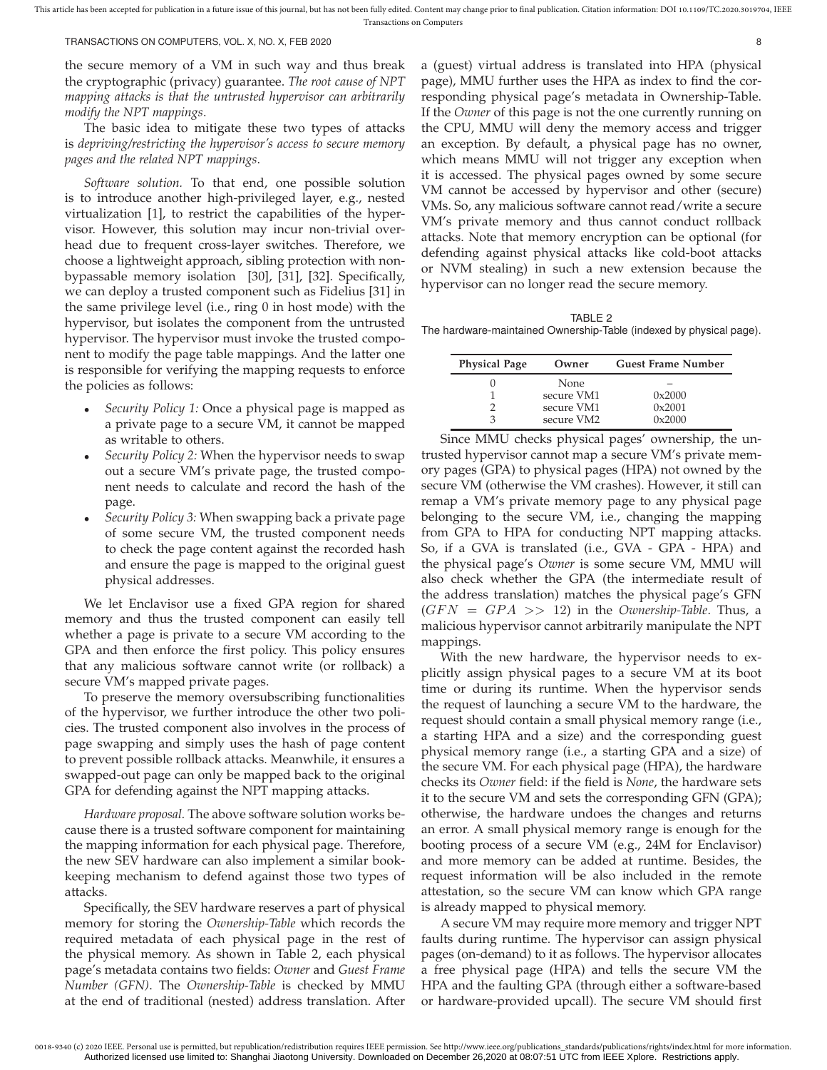# TRANSACTIONS ON COMPUTERS, VOL. X, NO. X, FEB 2020 8

the secure memory of a VM in such way and thus break the cryptographic (privacy) guarantee. *The root cause of NPT mapping attacks is that the untrusted hypervisor can arbitrarily modify the NPT mappings*.

The basic idea to mitigate these two types of attacks is *depriving/restricting the hypervisor's access to secure memory pages and the related NPT mappings*.

*Software solution.* To that end, one possible solution is to introduce another high-privileged layer, e.g., nested virtualization [1], to restrict the capabilities of the hypervisor. However, this solution may incur non-trivial overhead due to frequent cross-layer switches. Therefore, we choose a lightweight approach, sibling protection with nonbypassable memory isolation [30], [31], [32]. Specifically, we can deploy a trusted component such as Fidelius [31] in the same privilege level (i.e., ring 0 in host mode) with the hypervisor, but isolates the component from the untrusted hypervisor. The hypervisor must invoke the trusted component to modify the page table mappings. And the latter one is responsible for verifying the mapping requests to enforce the policies as follows:

- *Security Policy 1:* Once a physical page is mapped as a private page to a secure VM, it cannot be mapped as writable to others.
- *Security Policy 2:* When the hypervisor needs to swap out a secure VM's private page, the trusted component needs to calculate and record the hash of the page.
- *Security Policy 3:* When swapping back a private page of some secure VM, the trusted component needs to check the page content against the recorded hash and ensure the page is mapped to the original guest physical addresses.

We let Enclavisor use a fixed GPA region for shared memory and thus the trusted component can easily tell whether a page is private to a secure VM according to the GPA and then enforce the first policy. This policy ensures that any malicious software cannot write (or rollback) a secure VM's mapped private pages.

To preserve the memory oversubscribing functionalities of the hypervisor, we further introduce the other two policies. The trusted component also involves in the process of page swapping and simply uses the hash of page content to prevent possible rollback attacks. Meanwhile, it ensures a swapped-out page can only be mapped back to the original GPA for defending against the NPT mapping attacks.

*Hardware proposal.* The above software solution works because there is a trusted software component for maintaining the mapping information for each physical page. Therefore, the new SEV hardware can also implement a similar bookkeeping mechanism to defend against those two types of attacks.

Specifically, the SEV hardware reserves a part of physical memory for storing the *Ownership-Table* which records the required metadata of each physical page in the rest of the physical memory. As shown in Table 2, each physical page's metadata contains two fields: *Owner* and *Guest Frame Number (GFN)*. The *Ownership-Table* is checked by MMU at the end of traditional (nested) address translation. After

a (guest) virtual address is translated into HPA (physical page), MMU further uses the HPA as index to find the corresponding physical page's metadata in Ownership-Table. If the *Owner* of this page is not the one currently running on the CPU, MMU will deny the memory access and trigger an exception. By default, a physical page has no owner, which means MMU will not trigger any exception when it is accessed. The physical pages owned by some secure VM cannot be accessed by hypervisor and other (secure) VMs. So, any malicious software cannot read/write a secure VM's private memory and thus cannot conduct rollback attacks. Note that memory encryption can be optional (for defending against physical attacks like cold-boot attacks or NVM stealing) in such a new extension because the hypervisor can no longer read the secure memory.

TABLE 2 The hardware-maintained Ownership-Table (indexed by physical page).

| <b>Physical Page</b> | Owner      | <b>Guest Frame Number</b> |
|----------------------|------------|---------------------------|
|                      | None       |                           |
|                      | secure VM1 | 0x2000                    |
|                      | secure VM1 | 0x2001                    |
|                      | secure VM2 | 0x2000                    |

Since MMU checks physical pages' ownership, the untrusted hypervisor cannot map a secure VM's private memory pages (GPA) to physical pages (HPA) not owned by the secure VM (otherwise the VM crashes). However, it still can remap a VM's private memory page to any physical page belonging to the secure VM, i.e., changing the mapping from GPA to HPA for conducting NPT mapping attacks. So, if a GVA is translated (i.e., GVA - GPA - HPA) and the physical page's *Owner* is some secure VM, MMU will also check whether the GPA (the intermediate result of the address translation) matches the physical page's GFN  $(GFN = GPA \gg 12)$  in the *Ownership-Table*. Thus, a malicious hypervisor cannot arbitrarily manipulate the NPT mappings.

With the new hardware, the hypervisor needs to explicitly assign physical pages to a secure VM at its boot time or during its runtime. When the hypervisor sends the request of launching a secure VM to the hardware, the request should contain a small physical memory range (i.e., a starting HPA and a size) and the corresponding guest physical memory range (i.e., a starting GPA and a size) of the secure VM. For each physical page (HPA), the hardware checks its *Owner* field: if the field is *None*, the hardware sets it to the secure VM and sets the corresponding GFN (GPA); otherwise, the hardware undoes the changes and returns an error. A small physical memory range is enough for the booting process of a secure VM (e.g., 24M for Enclavisor) and more memory can be added at runtime. Besides, the request information will be also included in the remote attestation, so the secure VM can know which GPA range is already mapped to physical memory.

A secure VM may require more memory and trigger NPT faults during runtime. The hypervisor can assign physical pages (on-demand) to it as follows. The hypervisor allocates a free physical page (HPA) and tells the secure VM the HPA and the faulting GPA (through either a software-based or hardware-provided upcall). The secure VM should first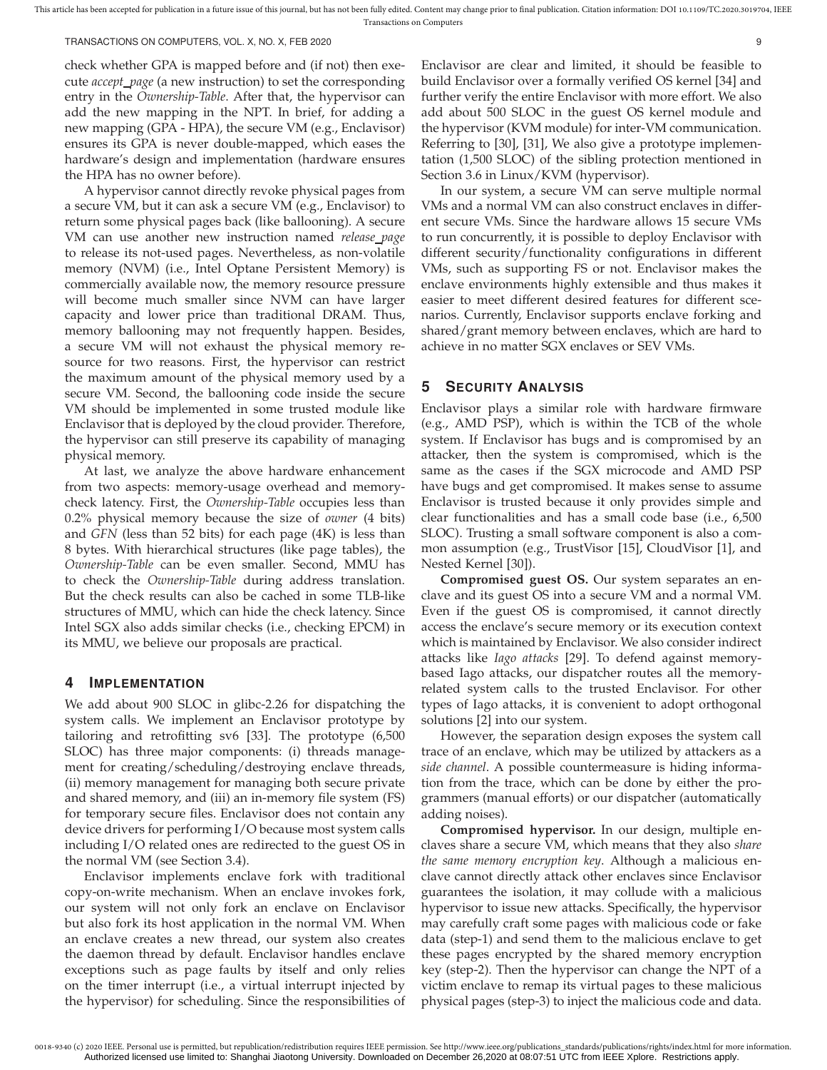# TRANSACTIONS ON COMPUTERS, VOL. X, NO. X, FEB 2020 9

check whether GPA is mapped before and (if not) then execute *accept page* (a new instruction) to set the corresponding entry in the *Ownership-Table*. After that, the hypervisor can add the new mapping in the NPT. In brief, for adding a new mapping (GPA - HPA), the secure VM (e.g., Enclavisor) ensures its GPA is never double-mapped, which eases the hardware's design and implementation (hardware ensures the HPA has no owner before).

A hypervisor cannot directly revoke physical pages from a secure VM, but it can ask a secure VM (e.g., Enclavisor) to return some physical pages back (like ballooning). A secure VM can use another new instruction named *release page* to release its not-used pages. Nevertheless, as non-volatile memory (NVM) (i.e., Intel Optane Persistent Memory) is commercially available now, the memory resource pressure will become much smaller since NVM can have larger capacity and lower price than traditional DRAM. Thus, memory ballooning may not frequently happen. Besides, a secure VM will not exhaust the physical memory resource for two reasons. First, the hypervisor can restrict the maximum amount of the physical memory used by a secure VM. Second, the ballooning code inside the secure VM should be implemented in some trusted module like Enclavisor that is deployed by the cloud provider. Therefore, the hypervisor can still preserve its capability of managing physical memory.

At last, we analyze the above hardware enhancement from two aspects: memory-usage overhead and memorycheck latency. First, the *Ownership-Table* occupies less than 0.2% physical memory because the size of *owner* (4 bits) and *GFN* (less than 52 bits) for each page (4K) is less than 8 bytes. With hierarchical structures (like page tables), the *Ownership-Table* can be even smaller. Second, MMU has to check the *Ownership-Table* during address translation. But the check results can also be cached in some TLB-like structures of MMU, which can hide the check latency. Since Intel SGX also adds similar checks (i.e., checking EPCM) in its MMU, we believe our proposals are practical.

### **4 IMPLEMENTATION**

We add about 900 SLOC in glibc-2.26 for dispatching the system calls. We implement an Enclavisor prototype by tailoring and retrofitting sv6 [33]. The prototype (6,500 SLOC) has three major components: (i) threads management for creating/scheduling/destroying enclave threads, (ii) memory management for managing both secure private and shared memory, and (iii) an in-memory file system (FS) for temporary secure files. Enclavisor does not contain any device drivers for performing I/O because most system calls including I/O related ones are redirected to the guest OS in the normal VM (see Section 3.4).

Enclavisor implements enclave fork with traditional copy-on-write mechanism. When an enclave invokes fork, our system will not only fork an enclave on Enclavisor but also fork its host application in the normal VM. When an enclave creates a new thread, our system also creates the daemon thread by default. Enclavisor handles enclave exceptions such as page faults by itself and only relies on the timer interrupt (i.e., a virtual interrupt injected by the hypervisor) for scheduling. Since the responsibilities of

Enclavisor are clear and limited, it should be feasible to build Enclavisor over a formally verified OS kernel [34] and further verify the entire Enclavisor with more effort. We also add about 500 SLOC in the guest OS kernel module and the hypervisor (KVM module) for inter-VM communication. Referring to [30], [31], We also give a prototype implementation (1,500 SLOC) of the sibling protection mentioned in Section 3.6 in Linux/KVM (hypervisor).

In our system, a secure VM can serve multiple normal VMs and a normal VM can also construct enclaves in different secure VMs. Since the hardware allows 15 secure VMs to run concurrently, it is possible to deploy Enclavisor with different security/functionality configurations in different VMs, such as supporting FS or not. Enclavisor makes the enclave environments highly extensible and thus makes it easier to meet different desired features for different scenarios. Currently, Enclavisor supports enclave forking and shared/grant memory between enclaves, which are hard to achieve in no matter SGX enclaves or SEV VMs.

# **5 SECURITY ANALYSIS**

Enclavisor plays a similar role with hardware firmware (e.g., AMD PSP), which is within the TCB of the whole system. If Enclavisor has bugs and is compromised by an attacker, then the system is compromised, which is the same as the cases if the SGX microcode and AMD PSP have bugs and get compromised. It makes sense to assume Enclavisor is trusted because it only provides simple and clear functionalities and has a small code base (i.e., 6,500 SLOC). Trusting a small software component is also a common assumption (e.g., TrustVisor [15], CloudVisor [1], and Nested Kernel [30]).

**Compromised guest OS.** Our system separates an enclave and its guest OS into a secure VM and a normal VM. Even if the guest OS is compromised, it cannot directly access the enclave's secure memory or its execution context which is maintained by Enclavisor. We also consider indirect attacks like *Iago attacks* [29]. To defend against memorybased Iago attacks, our dispatcher routes all the memoryrelated system calls to the trusted Enclavisor. For other types of Iago attacks, it is convenient to adopt orthogonal solutions [2] into our system.

However, the separation design exposes the system call trace of an enclave, which may be utilized by attackers as a *side channel*. A possible countermeasure is hiding information from the trace, which can be done by either the programmers (manual efforts) or our dispatcher (automatically adding noises).

**Compromised hypervisor.** In our design, multiple enclaves share a secure VM, which means that they also *share the same memory encryption key*. Although a malicious enclave cannot directly attack other enclaves since Enclavisor guarantees the isolation, it may collude with a malicious hypervisor to issue new attacks. Specifically, the hypervisor may carefully craft some pages with malicious code or fake data (step-1) and send them to the malicious enclave to get these pages encrypted by the shared memory encryption key (step-2). Then the hypervisor can change the NPT of a victim enclave to remap its virtual pages to these malicious physical pages (step-3) to inject the malicious code and data.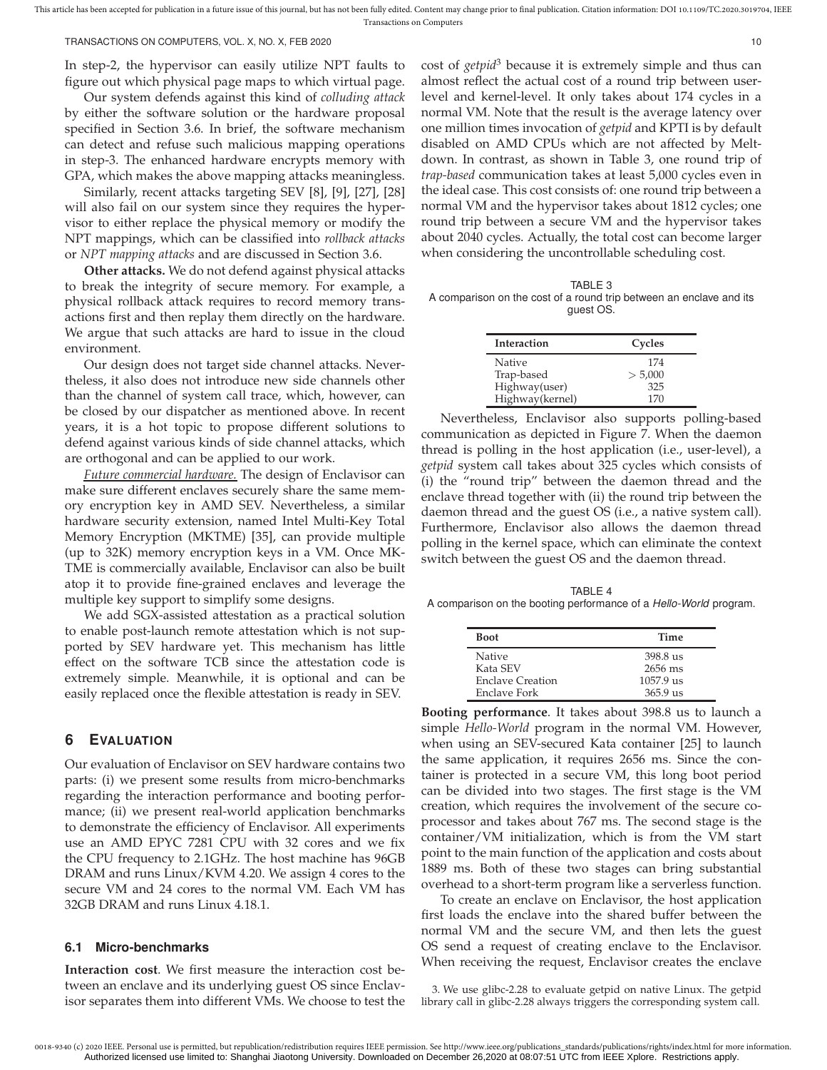In step-2, the hypervisor can easily utilize NPT faults to figure out which physical page maps to which virtual page.

Our system defends against this kind of *colluding attack* by either the software solution or the hardware proposal specified in Section 3.6. In brief, the software mechanism can detect and refuse such malicious mapping operations in step-3. The enhanced hardware encrypts memory with GPA, which makes the above mapping attacks meaningless.

Similarly, recent attacks targeting SEV [8], [9], [27], [28] will also fail on our system since they requires the hypervisor to either replace the physical memory or modify the NPT mappings, which can be classified into *rollback attacks* or *NPT mapping attacks* and are discussed in Section 3.6.

**Other attacks.** We do not defend against physical attacks to break the integrity of secure memory. For example, a physical rollback attack requires to record memory transactions first and then replay them directly on the hardware. We argue that such attacks are hard to issue in the cloud environment.

Our design does not target side channel attacks. Nevertheless, it also does not introduce new side channels other than the channel of system call trace, which, however, can be closed by our dispatcher as mentioned above. In recent years, it is a hot topic to propose different solutions to defend against various kinds of side channel attacks, which are orthogonal and can be applied to our work.

*Future commercial hardware.* The design of Enclavisor can make sure different enclaves securely share the same memory encryption key in AMD SEV. Nevertheless, a similar hardware security extension, named Intel Multi-Key Total Memory Encryption (MKTME) [35], can provide multiple (up to 32K) memory encryption keys in a VM. Once MK-TME is commercially available, Enclavisor can also be built atop it to provide fine-grained enclaves and leverage the multiple key support to simplify some designs.

We add SGX-assisted attestation as a practical solution to enable post-launch remote attestation which is not supported by SEV hardware yet. This mechanism has little effect on the software TCB since the attestation code is extremely simple. Meanwhile, it is optional and can be easily replaced once the flexible attestation is ready in SEV.

# **6 EVALUATION**

Our evaluation of Enclavisor on SEV hardware contains two parts: (i) we present some results from micro-benchmarks regarding the interaction performance and booting performance; (ii) we present real-world application benchmarks to demonstrate the efficiency of Enclavisor. All experiments use an AMD EPYC 7281 CPU with 32 cores and we fix the CPU frequency to 2.1GHz. The host machine has 96GB DRAM and runs Linux/KVM 4.20. We assign 4 cores to the secure VM and 24 cores to the normal VM. Each VM has 32GB DRAM and runs Linux 4.18.1.

#### **6.1 Micro-benchmarks**

**Interaction cost**. We first measure the interaction cost between an enclave and its underlying guest OS since Enclavisor separates them into different VMs. We choose to test the cost of *getpid*<sup>3</sup> because it is extremely simple and thus can almost reflect the actual cost of a round trip between userlevel and kernel-level. It only takes about 174 cycles in a normal VM. Note that the result is the average latency over one million times invocation of *getpid* and KPTI is by default disabled on AMD CPUs which are not affected by Meltdown. In contrast, as shown in Table 3, one round trip of *trap-based* communication takes at least 5,000 cycles even in the ideal case. This cost consists of: one round trip between a normal VM and the hypervisor takes about 1812 cycles; one round trip between a secure VM and the hypervisor takes about 2040 cycles. Actually, the total cost can become larger when considering the uncontrollable scheduling cost.

TABLE 3 A comparison on the cost of a round trip between an enclave and its guest OS.

| Interaction     | Cycles  |
|-----------------|---------|
| <b>Native</b>   | 174     |
| Trap-based      | > 5,000 |
| Highway(user)   | 325     |
| Highway(kernel) | 170     |

Nevertheless, Enclavisor also supports polling-based communication as depicted in Figure 7. When the daemon thread is polling in the host application (i.e., user-level), a *getpid* system call takes about 325 cycles which consists of (i) the "round trip" between the daemon thread and the enclave thread together with (ii) the round trip between the daemon thread and the guest OS (i.e., a native system call). Furthermore, Enclavisor also allows the daemon thread polling in the kernel space, which can eliminate the context switch between the guest OS and the daemon thread.

TABLE 4 A comparison on the booting performance of a *Hello-World* program.

| <b>Boot</b>      | Time        |
|------------------|-------------|
| <b>Native</b>    | 398.8 us    |
| Kata SEV         | $2656$ ms   |
| Enclave Creation | $1057.9$ us |
| Enclave Fork     | $365.9$ us  |

**Booting performance**. It takes about 398.8 us to launch a simple *Hello-World* program in the normal VM. However, when using an SEV-secured Kata container [25] to launch the same application, it requires 2656 ms. Since the container is protected in a secure VM, this long boot period can be divided into two stages. The first stage is the VM creation, which requires the involvement of the secure coprocessor and takes about 767 ms. The second stage is the container/VM initialization, which is from the VM start point to the main function of the application and costs about 1889 ms. Both of these two stages can bring substantial overhead to a short-term program like a serverless function.

To create an enclave on Enclavisor, the host application first loads the enclave into the shared buffer between the normal VM and the secure VM, and then lets the guest OS send a request of creating enclave to the Enclavisor. When receiving the request, Enclavisor creates the enclave

3. We use glibc-2.28 to evaluate getpid on native Linux. The getpid library call in glibc-2.28 always triggers the corresponding system call.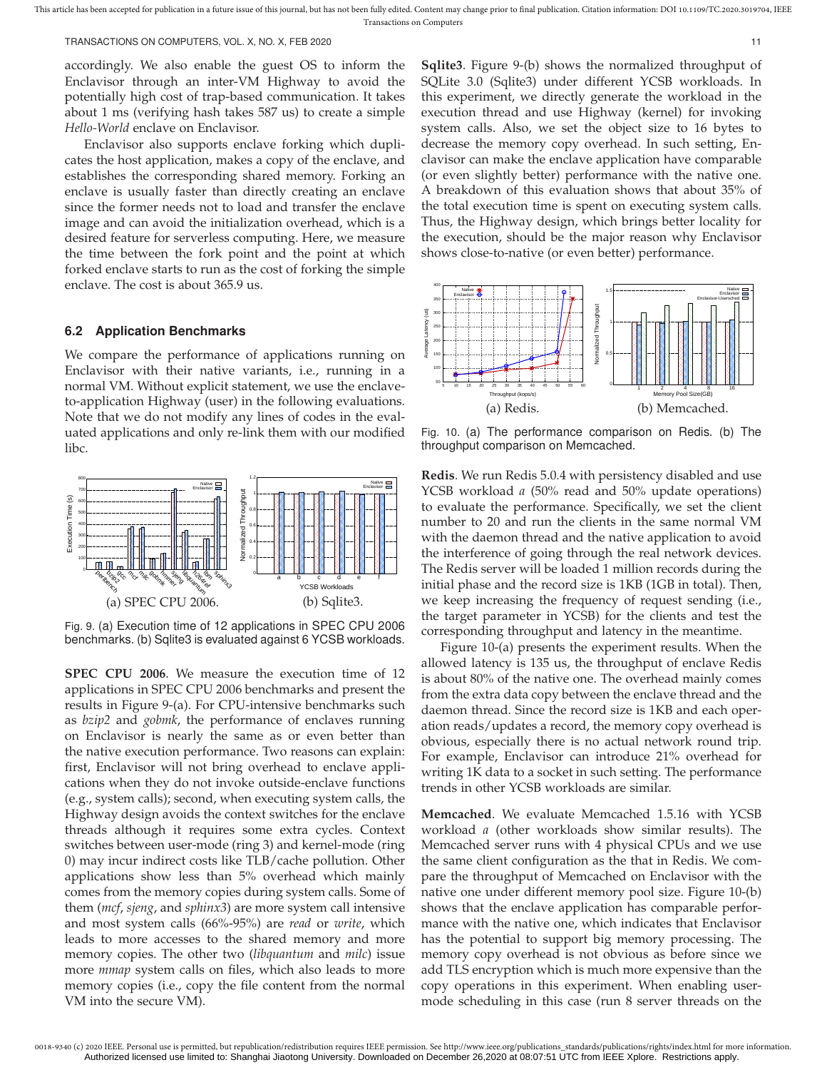TRANSACTIONS ON COMPUTERS, VOL. X, NO. X, FEB 2020 11 11 12 12 12 12 12 12 13 14 15 16 17 11 11 11 11 11 11 11

accordingly. We also enable the guest OS to inform the Enclavisor through an inter-VM Highway to avoid the potentially high cost of trap-based communication. It takes about 1 ms (verifying hash takes 587 us) to create a simple *Hello-World* enclave on Enclavisor.

Enclavisor also supports enclave forking which duplicates the host application, makes a copy of the enclave, and establishes the corresponding shared memory. Forking an enclave is usually faster than directly creating an enclave since the former needs not to load and transfer the enclave image and can avoid the initialization overhead, which is a desired feature for serverless computing. Here, we measure the time between the fork point and the point at which forked enclave starts to run as the cost of forking the simple enclave. The cost is about 365.9 us.

# **6.2 Application Benchmarks**

We compare the performance of applications running on Enclavisor with their native variants, i.e., running in a normal VM. Without explicit statement, we use the enclaveto-application Highway (user) in the following evaluations. Note that we do not modify any lines of codes in the evaluated applications and only re-link them with our modified libc.



Fig. 9. (a) Execution time of 12 applications in SPEC CPU 2006 benchmarks. (b) Sqlite3 is evaluated against 6 YCSB workloads.

**SPEC CPU 2006**. We measure the execution time of 12 applications in SPEC CPU 2006 benchmarks and present the results in Figure 9-(a). For CPU-intensive benchmarks such as *bzip2* and *gobmk*, the performance of enclaves running on Enclavisor is nearly the same as or even better than the native execution performance. Two reasons can explain: first, Enclavisor will not bring overhead to enclave applications when they do not invoke outside-enclave functions (e.g., system calls); second, when executing system calls, the Highway design avoids the context switches for the enclave threads although it requires some extra cycles. Context switches between user-mode (ring 3) and kernel-mode (ring 0) may incur indirect costs like TLB/cache pollution. Other applications show less than 5% overhead which mainly comes from the memory copies during system calls. Some of them (*mcf*, *sjeng*, and *sphinx3*) are more system call intensive and most system calls (66%-95%) are *read* or *write*, which leads to more accesses to the shared memory and more memory copies. The other two (*libquantum* and *milc*) issue more *mmap* system calls on files, which also leads to more memory copies (i.e., copy the file content from the normal VM into the secure VM).

**Sqlite3**. Figure 9-(b) shows the normalized throughput of SQLite 3.0 (Sqlite3) under different YCSB workloads. In this experiment, we directly generate the workload in the execution thread and use Highway (kernel) for invoking system calls. Also, we set the object size to 16 bytes to decrease the memory copy overhead. In such setting, Enclavisor can make the enclave application have comparable (or even slightly better) performance with the native one. A breakdown of this evaluation shows that about 35% of the total execution time is spent on executing system calls. Thus, the Highway design, which brings better locality for the execution, should be the major reason why Enclavisor shows close-to-native (or even better) performance.



Fig. 10. (a) The performance comparison on Redis. (b) The throughput comparison on Memcached.

**Redis**. We run Redis 5.0.4 with persistency disabled and use YCSB workload *a* (50% read and 50% update operations) to evaluate the performance. Specifically, we set the client number to 20 and run the clients in the same normal VM with the daemon thread and the native application to avoid the interference of going through the real network devices. The Redis server will be loaded 1 million records during the initial phase and the record size is 1KB (1GB in total). Then, we keep increasing the frequency of request sending (i.e., the target parameter in YCSB) for the clients and test the corresponding throughput and latency in the meantime.

Figure 10-(a) presents the experiment results. When the allowed latency is 135 us, the throughput of enclave Redis is about 80% of the native one. The overhead mainly comes from the extra data copy between the enclave thread and the daemon thread. Since the record size is 1KB and each operation reads/updates a record, the memory copy overhead is obvious, especially there is no actual network round trip. For example, Enclavisor can introduce 21% overhead for writing 1K data to a socket in such setting. The performance trends in other YCSB workloads are similar.

**Memcached**. We evaluate Memcached 1.5.16 with YCSB workload *a* (other workloads show similar results). The Memcached server runs with 4 physical CPUs and we use the same client configuration as the that in Redis. We compare the throughput of Memcached on Enclavisor with the native one under different memory pool size. Figure 10-(b) shows that the enclave application has comparable performance with the native one, which indicates that Enclavisor has the potential to support big memory processing. The memory copy overhead is not obvious as before since we add TLS encryption which is much more expensive than the copy operations in this experiment. When enabling usermode scheduling in this case (run 8 server threads on the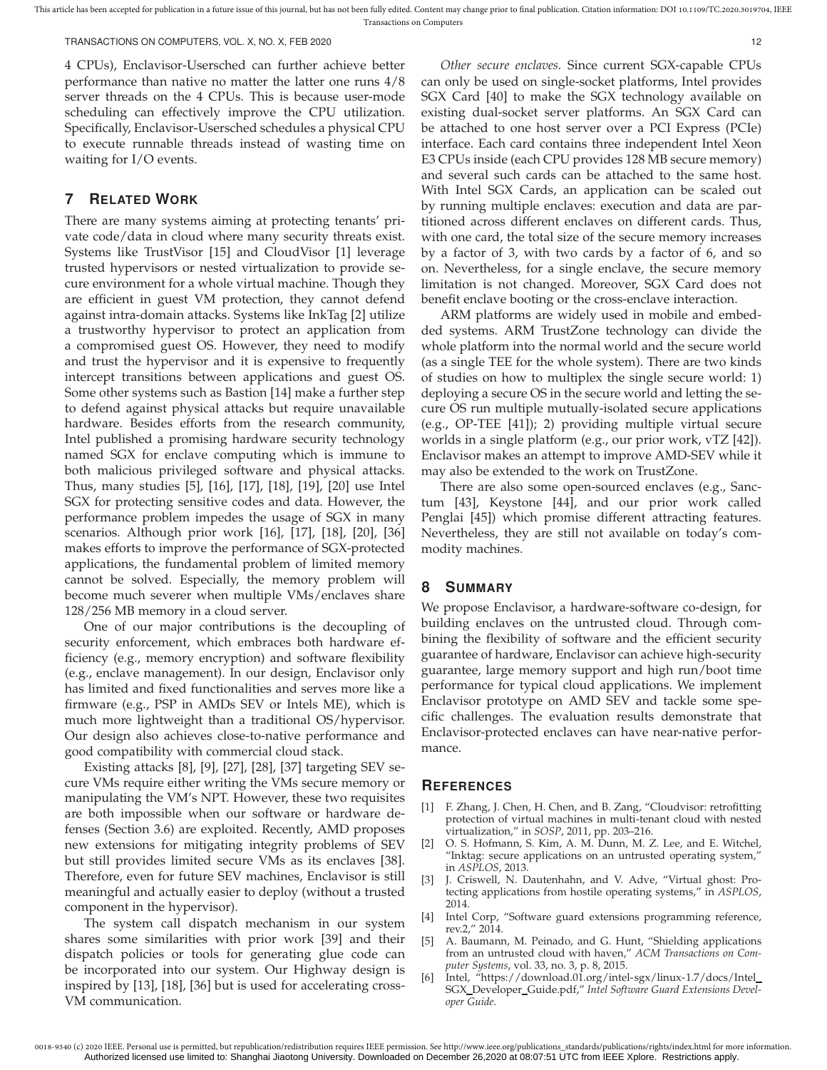#### TRANSACTIONS ON COMPUTERS, VOL. X, NO. X, FEB 2020 12

4 CPUs), Enclavisor-Usersched can further achieve better performance than native no matter the latter one runs 4/8 server threads on the 4 CPUs. This is because user-mode scheduling can effectively improve the CPU utilization. Specifically, Enclavisor-Usersched schedules a physical CPU to execute runnable threads instead of wasting time on waiting for I/O events.

# **7 RELATED WORK**

There are many systems aiming at protecting tenants' private code/data in cloud where many security threats exist. Systems like TrustVisor [15] and CloudVisor [1] leverage trusted hypervisors or nested virtualization to provide secure environment for a whole virtual machine. Though they are efficient in guest VM protection, they cannot defend against intra-domain attacks. Systems like InkTag [2] utilize a trustworthy hypervisor to protect an application from a compromised guest OS. However, they need to modify and trust the hypervisor and it is expensive to frequently intercept transitions between applications and guest OS. Some other systems such as Bastion [14] make a further step to defend against physical attacks but require unavailable hardware. Besides efforts from the research community, Intel published a promising hardware security technology named SGX for enclave computing which is immune to both malicious privileged software and physical attacks. Thus, many studies [5], [16], [17], [18], [19], [20] use Intel SGX for protecting sensitive codes and data. However, the performance problem impedes the usage of SGX in many scenarios. Although prior work [16], [17], [18], [20], [36] makes efforts to improve the performance of SGX-protected applications, the fundamental problem of limited memory cannot be solved. Especially, the memory problem will become much severer when multiple VMs/enclaves share 128/256 MB memory in a cloud server.

One of our major contributions is the decoupling of security enforcement, which embraces both hardware efficiency (e.g., memory encryption) and software flexibility (e.g., enclave management). In our design, Enclavisor only has limited and fixed functionalities and serves more like a firmware (e.g., PSP in AMDs SEV or Intels ME), which is much more lightweight than a traditional OS/hypervisor. Our design also achieves close-to-native performance and good compatibility with commercial cloud stack.

Existing attacks [8], [9], [27], [28], [37] targeting SEV secure VMs require either writing the VMs secure memory or manipulating the VM's NPT. However, these two requisites are both impossible when our software or hardware defenses (Section 3.6) are exploited. Recently, AMD proposes new extensions for mitigating integrity problems of SEV but still provides limited secure VMs as its enclaves [38]. Therefore, even for future SEV machines, Enclavisor is still meaningful and actually easier to deploy (without a trusted component in the hypervisor).

The system call dispatch mechanism in our system shares some similarities with prior work [39] and their dispatch policies or tools for generating glue code can be incorporated into our system. Our Highway design is inspired by [13], [18], [36] but is used for accelerating cross-VM communication.

*Other secure enclaves.* Since current SGX-capable CPUs can only be used on single-socket platforms, Intel provides SGX Card [40] to make the SGX technology available on existing dual-socket server platforms. An SGX Card can be attached to one host server over a PCI Express (PCIe) interface. Each card contains three independent Intel Xeon E3 CPUs inside (each CPU provides 128 MB secure memory) and several such cards can be attached to the same host. With Intel SGX Cards, an application can be scaled out by running multiple enclaves: execution and data are partitioned across different enclaves on different cards. Thus, with one card, the total size of the secure memory increases by a factor of 3, with two cards by a factor of 6, and so on. Nevertheless, for a single enclave, the secure memory limitation is not changed. Moreover, SGX Card does not benefit enclave booting or the cross-enclave interaction.

ARM platforms are widely used in mobile and embedded systems. ARM TrustZone technology can divide the whole platform into the normal world and the secure world (as a single TEE for the whole system). There are two kinds of studies on how to multiplex the single secure world: 1) deploying a secure OS in the secure world and letting the secure OS run multiple mutually-isolated secure applications (e.g., OP-TEE [41]); 2) providing multiple virtual secure worlds in a single platform (e.g., our prior work, vTZ [42]). Enclavisor makes an attempt to improve AMD-SEV while it may also be extended to the work on TrustZone.

There are also some open-sourced enclaves (e.g., Sanctum [43], Keystone [44], and our prior work called Penglai [45]) which promise different attracting features. Nevertheless, they are still not available on today's commodity machines.

# **8 SUMMARY**

We propose Enclavisor, a hardware-software co-design, for building enclaves on the untrusted cloud. Through combining the flexibility of software and the efficient security guarantee of hardware, Enclavisor can achieve high-security guarantee, large memory support and high run/boot time performance for typical cloud applications. We implement Enclavisor prototype on AMD SEV and tackle some specific challenges. The evaluation results demonstrate that Enclavisor-protected enclaves can have near-native performance.

# **REFERENCES**

- [1] F. Zhang, J. Chen, H. Chen, and B. Zang, "Cloudvisor: retrofitting protection of virtual machines in multi-tenant cloud with nested virtualization," in *SOSP*, 2011, pp. 203–216.
- [2] O. S. Hofmann, S. Kim, A. M. Dunn, M. Z. Lee, and E. Witchel, "Inktag: secure applications on an untrusted operating system," in *ASPLOS*, 2013.
- [3] J. Criswell, N. Dautenhahn, and V. Adve, "Virtual ghost: Protecting applications from hostile operating systems," in *ASPLOS*, 2014.
- [4] Intel Corp, "Software guard extensions programming reference, rev.2," 2014.
- [5] A. Baumann, M. Peinado, and G. Hunt, "Shielding applications from an untrusted cloud with haven," *ACM Transactions on Computer Systems*, vol. 33, no. 3, p. 8, 2015.
- [6] Intel, "https://download.01.org/intel-sgx/linux-1.7/docs/Intel SGX Developer Guide.pdf," *Intel Software Guard Extensions Developer Guide*.

0018-9340 (c) 2020 IEEE. Personal use is permitted, but republication/redistribution requires IEEE permission. See http://www.ieee.org/publications\_standards/publications/rights/index.html for more information. Authorized licensed use limited to: Shanghai Jiaotong University. Downloaded on December 26,2020 at 08:07:51 UTC from IEEE Xplore. Restrictions apply.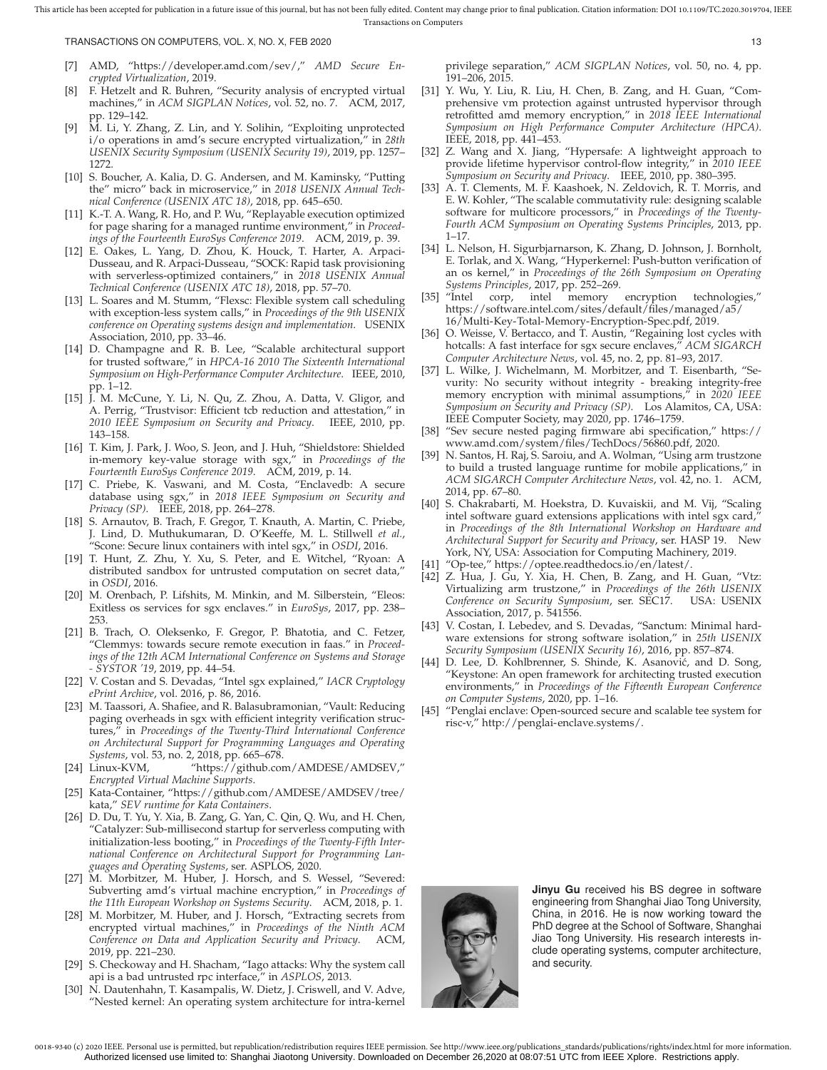TRANSACTIONS ON COMPUTERS, VOL. X, NO. X, FEB 2020 13 13

- [7] AMD, "https://developer.amd.com/sev/," *AMD Secure Encrypted Virtualization*, 2019.
- F. Hetzelt and R. Buhren, "Security analysis of encrypted virtual machines," in *ACM SIGPLAN Notices*, vol. 52, no. 7. ACM, 2017, pp. 129–142.
- [9] M. Li, Y. Zhang, Z. Lin, and Y. Solihin, "Exploiting unprotected i/o operations in amd's secure encrypted virtualization," in *28th USENIX Security Symposium (USENIX Security 19)*, 2019, pp. 1257– 1272.
- [10] S. Boucher, A. Kalia, D. G. Andersen, and M. Kaminsky, "Putting the" micro" back in microservice," in *2018 USENIX Annual Technical Conference (USENIX ATC 18)*, 2018, pp. 645–650.
- [11] K.-T. A. Wang, R. Ho, and P. Wu, "Replayable execution optimized for page sharing for a managed runtime environment," in *Proceedings of the Fourteenth EuroSys Conference 2019*. ACM, 2019, p. 39.
- [12] E. Oakes, L. Yang, D. Zhou, K. Houck, T. Harter, A. Arpaci-Dusseau, and R. Arpaci-Dusseau, "SOCK: Rapid task provisioning with serverless-optimized containers," in *2018 USENIX Annual Technical Conference (USENIX ATC 18)*, 2018, pp. 57–70.
- [13] L. Soares and M. Stumm, "Flexsc: Flexible system call scheduling with exception-less system calls," in *Proceedings of the 9th USENIX conference on Operating systems design and implementation*. USENIX Association, 2010, pp. 33–46.
- [14] D. Champagne and R. B. Lee, "Scalable architectural support for trusted software," in *HPCA-16 2010 The Sixteenth International Symposium on High-Performance Computer Architecture*. IEEE, 2010, pp. 1–12.
- [15] J. M. McCune, Y. Li, N. Qu, Z. Zhou, A. Datta, V. Gligor, and A. Perrig, "Trustvisor: Efficient tcb reduction and attestation," in *2010 IEEE Symposium on Security and Privacy*. IEEE, 2010, pp. 143–158.
- [16] T. Kim, J. Park, J. Woo, S. Jeon, and J. Huh, "Shieldstore: Shielded in-memory key-value storage with sgx," in *Proceedings of the Fourteenth EuroSys Conference 2019*. ACM, 2019, p. 14.
- C. Priebe, K. Vaswani, and M. Costa, "Enclavedb: A secure database using sgx," in *2018 IEEE Symposium on Security and Privacy (SP)*. IEEE, 2018, pp. 264–278.
- [18] S. Arnautov, B. Trach, F. Gregor, T. Knauth, A. Martin, C. Priebe, J. Lind, D. Muthukumaran, D. O'Keeffe, M. L. Stillwell *et al.*, "Scone: Secure linux containers with intel sgx," in *OSDI*, 2016.
- [19] T. Hunt, Z. Zhu, Y. Xu, S. Peter, and E. Witchel, "Ryoan: A distributed sandbox for untrusted computation on secret data," in *OSDI*, 2016.
- [20] M. Orenbach, P. Lifshits, M. Minkin, and M. Silberstein, "Eleos: Exitless os services for sgx enclaves." in *EuroSys*, 2017, pp. 238– 253.
- [21] B. Trach, O. Oleksenko, F. Gregor, P. Bhatotia, and C. Fetzer, "Clemmys: towards secure remote execution in faas." in *Proceedings of the 12th ACM International Conference on Systems and Storage - SYSTOR '19*, 2019, pp. 44–54.
- [22] V. Costan and S. Devadas, "Intel sgx explained," *IACR Cryptology ePrint Archive*, vol. 2016, p. 86, 2016.
- [23] M. Taassori, A. Shafiee, and R. Balasubramonian, "Vault: Reducing paging overheads in sgx with efficient integrity verification structures," in *Proceedings of the Twenty-Third International Conference on Architectural Support for Programming Languages and Operating Systems*, vol. 53, no. 2, 2018, pp. 665–678.
- [24] Linux-KVM, "https://github.com/AMDESE/AMDSEV," *Encrypted Virtual Machine Supports*.
- [25] Kata-Container, "https://github.com/AMDESE/AMDSEV/tree/ kata," *SEV runtime for Kata Containers*.
- [26] D. Du, T. Yu, Y. Xia, B. Zang, G. Yan, C. Qin, Q. Wu, and H. Chen, "Catalyzer: Sub-millisecond startup for serverless computing with initialization-less booting," in *Proceedings of the Twenty-Fifth International Conference on Architectural Support for Programming Languages and Operating Systems*, ser. ASPLOS, 2020.
- [27] M. Morbitzer, M. Huber, J. Horsch, and S. Wessel, "Severed: Subverting amd's virtual machine encryption," in *Proceedings of the 11th European Workshop on Systems Security*. ACM, 2018, p. 1.
- [28] M. Morbitzer, M. Huber, and J. Horsch, "Extracting secrets from encrypted virtual machines," in *Proceedings of the Ninth ACM Conference on Data and Application Security and Privacy*. ACM, 2019, pp. 221–230.
- [29] S. Checkoway and H. Shacham, "Iago attacks: Why the system call api is a bad untrusted rpc interface," in *ASPLOS*, 2013.
- [30] N. Dautenhahn, T. Kasampalis, W. Dietz, J. Criswell, and V. Adve, "Nested kernel: An operating system architecture for intra-kernel

privilege separation," *ACM SIGPLAN Notices*, vol. 50, no. 4, pp. 191–206, 2015.

- [31] Y. Wu, Y. Liu, R. Liu, H. Chen, B. Zang, and H. Guan, "Comprehensive vm protection against untrusted hypervisor through retrofitted amd memory encryption," in *2018 IEEE International Symposium on High Performance Computer Architecture (HPCA)*. IEEE, 2018, pp. 441–453.
- [32] Z. Wang and X. Jiang, "Hypersafe: A lightweight approach to provide lifetime hypervisor control-flow integrity," in *2010 IEEE Symposium on Security and Privacy*. IEEE, 2010, pp. 380–395.
- [33] A. T. Clements, M. F. Kaashoek, N. Zeldovich, R. T. Morris, and E. W. Kohler, "The scalable commutativity rule: designing scalable software for multicore processors," in *Proceedings* of the Twenty-*Fourth ACM Symposium on Operating Systems Principles*, 2013, pp. 1–17.
- [34] L. Nelson, H. Sigurbjarnarson, K. Zhang, D. Johnson, J. Bornholt, E. Torlak, and X. Wang, "Hyperkernel: Push-button verification of an os kernel," in *Proceedings of the 26th Symposium on Operating Systems Principles*, 2017, pp. 252–269.
- [35] "Intel corp, intel memory encryption technologies," https://software.intel.com/sites/default/files/managed/a5/ 16/Multi-Key-Total-Memory-Encryption-Spec.pdf, 2019.
- [36] O. Weisse, V. Bertacco, and T. Austin, "Regaining lost cycles with hotcalls: A fast interface for sgx secure enclaves," *ACM SIGARCH Computer Architecture News*, vol. 45, no. 2, pp. 81–93, 2017.
- [37] L. Wilke, J. Wichelmann, M. Morbitzer, and T. Eisenbarth, vurity: No security without integrity - breaking integrity-free memory encryption with minimal assumptions," in *2020 IEEE Symposium on Security and Privacy (SP)*. Los Alamitos, CA, USA: IEEE Computer Society, may 2020, pp. 1746–1759.
- [38] "Sev secure nested paging firmware abi specification," https:// www.amd.com/system/files/TechDocs/56860.pdf, 2020.
- [39] N. Santos, H. Raj, S. Saroiu, and A. Wolman, "Using arm trustzone to build a trusted language runtime for mobile applications," in *ACM SIGARCH Computer Architecture News*, vol. 42, no. 1. ACM, 2014, pp. 67–80.
- [40] S. Chakrabarti, M. Hoekstra, D. Kuvaiskii, and M. Vij, "Scaling intel software guard extensions applications with intel sgx card, in *Proceedings of the 8th International Workshop on Hardware and Architectural Support for Security and Privacy*, ser. HASP 19. New York, NY, USA: Association for Computing Machinery, 2019.
- [41] "Op-tee," https://optee.readthedocs.io/en/latest/.
- [42] Z. Hua, J. Gu, Y. Xia, H. Chen, B. Zang, and H. Guan, "Vtz: Virtualizing arm trustzone," in *Proceedings of the 26th USENIX Conference on Security Symposium*, ser. SEC17. USA: USENIX Association, 2017, p. 541556.
- [43] V. Costan, I. Lebedev, and S. Devadas, "Sanctum: Minimal hardware extensions for strong software isolation," in *25th USENIX Security Symposium (USENIX Security 16)*, 2016, pp. 857–874.
- [44] D. Lee, D. Kohlbrenner, S. Shinde, K. Asanović, and D. Song, "Keystone: An open framework for architecting trusted execution environments," in *Proceedings of the Fifteenth European Conference on Computer Systems*, 2020, pp. 1–16.
- [45] "Penglai enclave: Open-sourced secure and scalable tee system for risc-v," http://penglai-enclave.systems/.



Authorized licensed use limited to: Shanghai Jiaotong University. Downloaded on December 26,2020 at 08:07:51 UTC from IEEE Xplore. Restrictions apply.

**Jinyu Gu** received his BS degree in software engineering from Shanghai Jiao Tong University, China, in 2016. He is now working toward the PhD degree at the School of Software, Shanghai Jiao Tong University. His research interests include operating systems, computer architecture, and security.